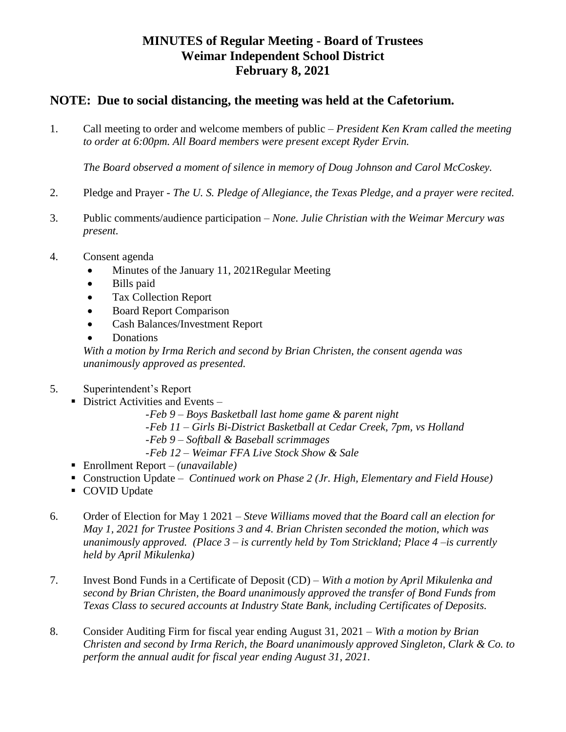## **MINUTES of Regular Meeting - Board of Trustees Weimar Independent School District February 8, 2021**

## **NOTE: Due to social distancing, the meeting was held at the Cafetorium.**

1. Call meeting to order and welcome members of public – *President Ken Kram called the meeting to order at 6:00pm. All Board members were present except Ryder Ervin.*

*The Board observed a moment of silence in memory of Doug Johnson and Carol McCoskey.*

- 2. Pledge and Prayer *The U. S. Pledge of Allegiance, the Texas Pledge, and a prayer were recited.*
- 3. Public comments/audience participation *None. Julie Christian with the Weimar Mercury was present.*
- 4. Consent agenda
	- Minutes of the January 11, 2021 Regular Meeting
	- Bills paid
	- Tax Collection Report
	- Board Report Comparison
	- Cash Balances/Investment Report
	- Donations

*With a motion by Irma Rerich and second by Brian Christen, the consent agenda was unanimously approved as presented.*

- 5. Superintendent's Report
	- $\blacksquare$  District Activities and Events
		- -*Feb 9 – Boys Basketball last home game & parent night*
		- -*Feb 11 – Girls Bi-District Basketball at Cedar Creek, 7pm, vs Holland*
		- -*Feb 9 – Softball & Baseball scrimmages*
		- -*Feb 12 – Weimar FFA Live Stock Show & Sale*
	- Enrollment Report *– (unavailable)*
	- Construction Update *Continued work on Phase 2 (Jr. High, Elementary and Field House)*
	- COVID Update
- 6. Order of Election for May 1 2021 *Steve Williams moved that the Board call an election for May 1, 2021 for Trustee Positions 3 and 4. Brian Christen seconded the motion, which was unanimously approved. (Place 3 – is currently held by Tom Strickland; Place 4 –is currently held by April Mikulenka)*
- 7. Invest Bond Funds in a Certificate of Deposit (CD) *With a motion by April Mikulenka and second by Brian Christen, the Board unanimously approved the transfer of Bond Funds from Texas Class to secured accounts at Industry State Bank, including Certificates of Deposits.*
- 8. Consider Auditing Firm for fiscal year ending August 31, 2021 *With a motion by Brian Christen and second by Irma Rerich, the Board unanimously approved Singleton, Clark & Co. to perform the annual audit for fiscal year ending August 31, 2021.*